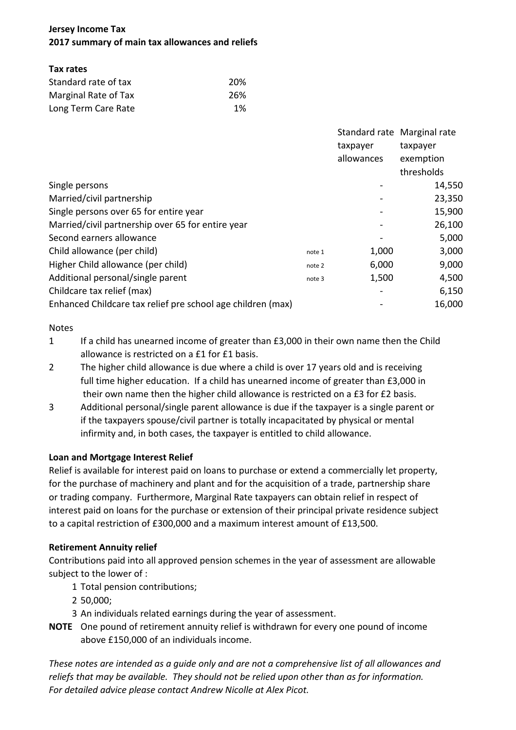# **Jersey Income Tax 2017 summary of main tax allowances and reliefs**

## **Tax rates**

| Standard rate of tax | 20%  |  |  |
|----------------------|------|--|--|
| Marginal Rate of Tax | -26% |  |  |
| Long Term Care Rate  | 1%   |  |  |

|                                                             |        |            | Standard rate Marginal rate |
|-------------------------------------------------------------|--------|------------|-----------------------------|
|                                                             |        | taxpayer   | taxpayer                    |
|                                                             |        | allowances | exemption                   |
|                                                             |        |            | thresholds                  |
| Single persons                                              |        |            | 14,550                      |
| Married/civil partnership                                   |        |            | 23,350                      |
| Single persons over 65 for entire year                      |        |            | 15,900                      |
| Married/civil partnership over 65 for entire year           |        |            | 26,100                      |
| Second earners allowance                                    |        |            | 5,000                       |
| Child allowance (per child)                                 | note 1 | 1,000      | 3,000                       |
| Higher Child allowance (per child)                          | note 2 | 6,000      | 9,000                       |
| Additional personal/single parent                           | note 3 | 1,500      | 4,500                       |
| Childcare tax relief (max)                                  |        |            | 6,150                       |
| Enhanced Childcare tax relief pre school age children (max) |        |            | 16,000                      |

#### Notes

- 1 If a child has unearned income of greater than £3,000 in their own name then the Child allowance is restricted on a £1 for £1 basis.
- 2 The higher child allowance is due where a child is over 17 years old and is receiving full time higher education. If a child has unearned income of greater than £3,000 in their own name then the higher child allowance is restricted on a £3 for £2 basis.
- 3 Additional personal/single parent allowance is due if the taxpayer is a single parent or if the taxpayers spouse/civil partner is totally incapacitated by physical or mental infirmity and, in both cases, the taxpayer is entitled to child allowance.

# **Loan and Mortgage Interest Relief**

Relief is available for interest paid on loans to purchase or extend a commercially let property, for the purchase of machinery and plant and for the acquisition of a trade, partnership share or trading company. Furthermore, Marginal Rate taxpayers can obtain relief in respect of interest paid on loans for the purchase or extension of their principal private residence subject to a capital restriction of £300,000 and a maximum interest amount of £13,500.

# **Retirement Annuity relief**

Contributions paid into all approved pension schemes in the year of assessment are allowable subject to the lower of :

- 1 Total pension contributions;
- 2 50,000;
- 3 An individuals related earnings during the year of assessment.
- **NOTE** One pound of retirement annuity relief is withdrawn for every one pound of income above £150,000 of an individuals income.

*These notes are intended as a guide only and are not a comprehensive list of all allowances and reliefs that may be available. They should not be relied upon other than as for information. For detailed advice please contact Andrew Nicolle at Alex Picot.*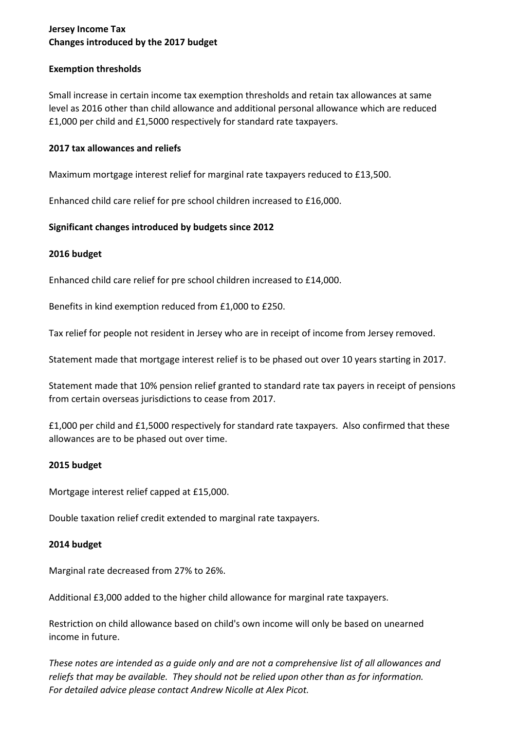# **Jersey Income Tax Changes introduced by the 2017 budget**

#### **Exemption thresholds**

Small increase in certain income tax exemption thresholds and retain tax allowances at same level as 2016 other than child allowance and additional personal allowance which are reduced £1,000 per child and £1,5000 respectively for standard rate taxpayers.

#### **2017 tax allowances and reliefs**

Maximum mortgage interest relief for marginal rate taxpayers reduced to £13,500.

Enhanced child care relief for pre school children increased to £16,000.

#### **Significant changes introduced by budgets since 2012**

#### **2016 budget**

Enhanced child care relief for pre school children increased to £14,000.

Benefits in kind exemption reduced from £1,000 to £250.

Tax relief for people not resident in Jersey who are in receipt of income from Jersey removed.

Statement made that mortgage interest relief is to be phased out over 10 years starting in 2017.

Statement made that 10% pension relief granted to standard rate tax payers in receipt of pensions from certain overseas jurisdictions to cease from 2017.

£1,000 per child and £1,5000 respectively for standard rate taxpayers. Also confirmed that these allowances are to be phased out over time.

#### **2015 budget**

Mortgage interest relief capped at £15,000.

Double taxation relief credit extended to marginal rate taxpayers.

#### **2014 budget**

Marginal rate decreased from 27% to 26%.

Additional £3,000 added to the higher child allowance for marginal rate taxpayers.

Restriction on child allowance based on child's own income will only be based on unearned income in future.

*These notes are intended as a guide only and are not a comprehensive list of all allowances and reliefs that may be available. They should not be relied upon other than as for information. For detailed advice please contact Andrew Nicolle at Alex Picot.*